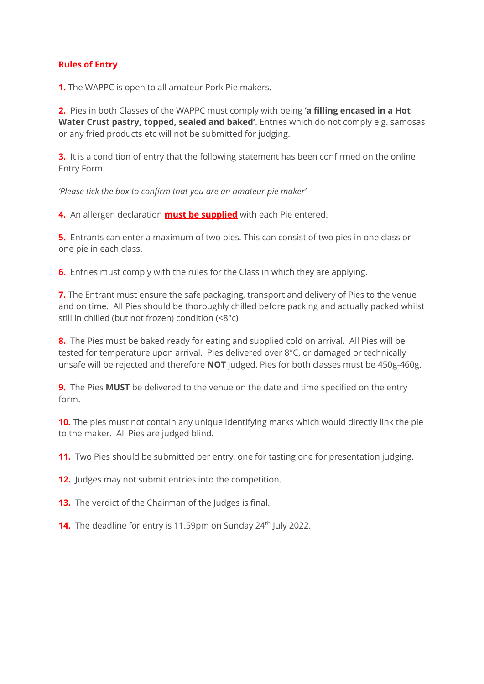# **Rules of Entry**

**1.** The WAPPC is open to all amateur Pork Pie makers.

**2.** Pies in both Classes of the WAPPC must comply with being **'a filling encased in a Hot Water Crust pastry, topped, sealed and baked'**. Entries which do not comply e.g. samosas or any fried products etc will not be submitted for judging.

**3.** It is a condition of entry that the following statement has been confirmed on the online Entry Form

*'Please tick the box to confirm that you are an amateur pie maker'*

**4.** An allergen declaration **must be supplied** with each Pie entered.

**5.** Entrants can enter a maximum of two pies. This can consist of two pies in one class or one pie in each class.

**6.** Entries must comply with the rules for the Class in which they are applying.

**7.** The Entrant must ensure the safe packaging, transport and delivery of Pies to the venue and on time. All Pies should be thoroughly chilled before packing and actually packed whilst still in chilled (but not frozen) condition (<8°c)

**8.** The Pies must be baked ready for eating and supplied cold on arrival. All Pies will be tested for temperature upon arrival. Pies delivered over 8°C, or damaged or technically unsafe will be rejected and therefore **NOT** judged. Pies for both classes must be 450g-460g.

**9.** The Pies **MUST** be delivered to the venue on the date and time specified on the entry form.

**10.** The pies must not contain any unique identifying marks which would directly link the pie to the maker. All Pies are judged blind.

**11.** Two Pies should be submitted per entry, one for tasting one for presentation judging.

**12.** Judges may not submit entries into the competition.

**13.** The verdict of the Chairman of the Judges is final.

**14.** The deadline for entry is 11.59pm on Sunday 24<sup>th</sup> July 2022.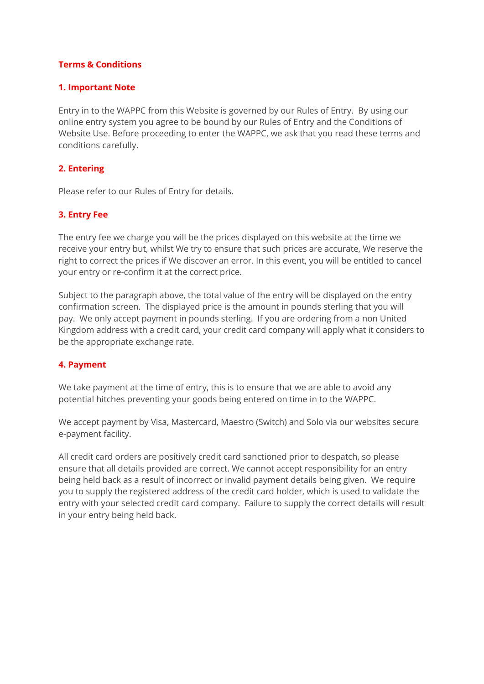## **Terms & Conditions**

#### **1. Important Note**

Entry in to the WAPPC from this Website is governed by our Rules of Entry. By using our online entry system you agree to be bound by our Rules of Entry and the Conditions of Website Use. Before proceeding to enter the WAPPC, we ask that you read these terms and conditions carefully.

## **2. Entering**

Please refer to our Rules of Entry for details.

## **3. Entry Fee**

The entry fee we charge you will be the prices displayed on this website at the time we receive your entry but, whilst We try to ensure that such prices are accurate, We reserve the right to correct the prices if We discover an error. In this event, you will be entitled to cancel your entry or re-confirm it at the correct price.

Subject to the paragraph above, the total value of the entry will be displayed on the entry confirmation screen. The displayed price is the amount in pounds sterling that you will pay. We only accept payment in pounds sterling. If you are ordering from a non United Kingdom address with a credit card, your credit card company will apply what it considers to be the appropriate exchange rate.

#### **4. Payment**

We take payment at the time of entry, this is to ensure that we are able to avoid any potential hitches preventing your goods being entered on time in to the WAPPC.

We accept payment by Visa, Mastercard, Maestro (Switch) and Solo via our websites secure e-payment facility.

All credit card orders are positively credit card sanctioned prior to despatch, so please ensure that all details provided are correct. We cannot accept responsibility for an entry being held back as a result of incorrect or invalid payment details being given. We require you to supply the registered address of the credit card holder, which is used to validate the entry with your selected credit card company. Failure to supply the correct details will result in your entry being held back.